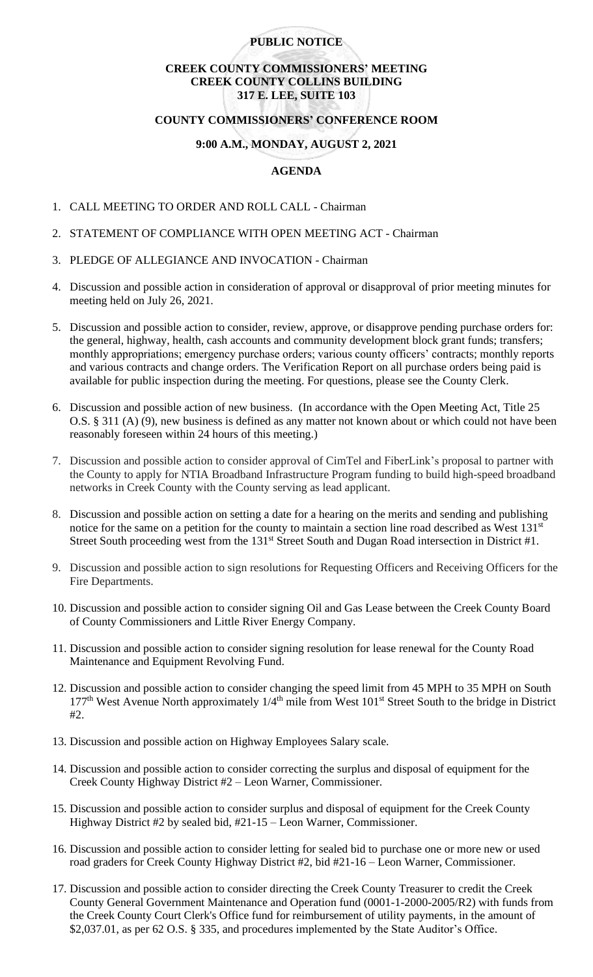### **PUBLIC NOTICE**

# **CREEK COUNTY COMMISSIONERS' MEETING CREEK COUNTY COLLINS BUILDING 317 E. LEE, SUITE 103**

### **COUNTY COMMISSIONERS' CONFERENCE ROOM**

### **9:00 A.M., MONDAY, AUGUST 2, 2021**

# **AGENDA**

- 1. CALL MEETING TO ORDER AND ROLL CALL Chairman
- 2. STATEMENT OF COMPLIANCE WITH OPEN MEETING ACT Chairman
- 3. PLEDGE OF ALLEGIANCE AND INVOCATION Chairman
- 4. Discussion and possible action in consideration of approval or disapproval of prior meeting minutes for meeting held on July 26, 2021.
- 5. Discussion and possible action to consider, review, approve, or disapprove pending purchase orders for: the general, highway, health, cash accounts and community development block grant funds; transfers; monthly appropriations; emergency purchase orders; various county officers' contracts; monthly reports and various contracts and change orders. The Verification Report on all purchase orders being paid is available for public inspection during the meeting. For questions, please see the County Clerk.
- 6. Discussion and possible action of new business. (In accordance with the Open Meeting Act, Title 25 O.S. § 311 (A) (9), new business is defined as any matter not known about or which could not have been reasonably foreseen within 24 hours of this meeting.)
- 7. Discussion and possible action to consider approval of CimTel and FiberLink's proposal to partner with the County to apply for NTIA Broadband Infrastructure Program funding to build high-speed broadband networks in Creek County with the County serving as lead applicant.
- 8. Discussion and possible action on setting a date for a hearing on the merits and sending and publishing notice for the same on a petition for the county to maintain a section line road described as West 131<sup>st</sup> Street South proceeding west from the 131<sup>st</sup> Street South and Dugan Road intersection in District #1.
- 9. Discussion and possible action to sign resolutions for Requesting Officers and Receiving Officers for the Fire Departments.
- 10. Discussion and possible action to consider signing Oil and Gas Lease between the Creek County Board of County Commissioners and Little River Energy Company.
- 11. Discussion and possible action to consider signing resolution for lease renewal for the County Road Maintenance and Equipment Revolving Fund.
- 12. Discussion and possible action to consider changing the speed limit from 45 MPH to 35 MPH on South 177<sup>th</sup> West Avenue North approximately 1/4<sup>th</sup> mile from West 101<sup>st</sup> Street South to the bridge in District  $#2.$
- 13. Discussion and possible action on Highway Employees Salary scale.
- 14. Discussion and possible action to consider correcting the surplus and disposal of equipment for the Creek County Highway District #2 – Leon Warner, Commissioner.
- 15. Discussion and possible action to consider surplus and disposal of equipment for the Creek County Highway District #2 by sealed bid, #21-15 – Leon Warner, Commissioner.
- 16. Discussion and possible action to consider letting for sealed bid to purchase one or more new or used road graders for Creek County Highway District #2, bid #21-16 – Leon Warner, Commissioner.
- 17. Discussion and possible action to consider directing the Creek County Treasurer to credit the Creek County General Government Maintenance and Operation fund (0001-1-2000-2005/R2) with funds from the Creek County Court Clerk's Office fund for reimbursement of utility payments, in the amount of \$2,037.01, as per 62 O.S. § 335, and procedures implemented by the State Auditor's Office.